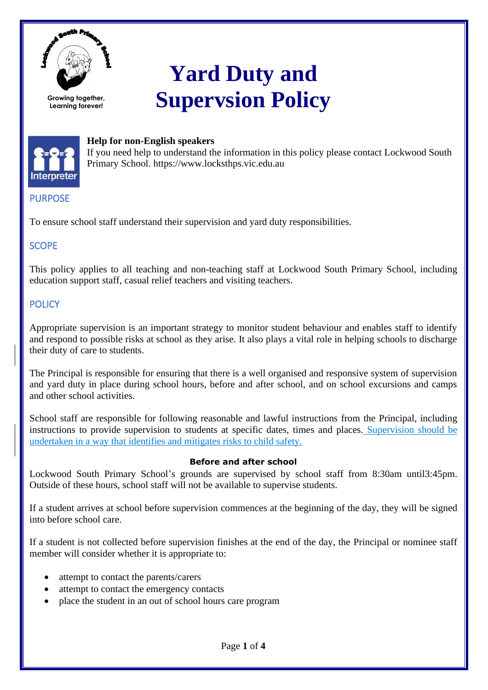

# **Yard Duty and Supervsion Policy**



## **Help for non-English speakers**

If you need help to understand the information in this policy please contact Lockwood South Primary School. https://www.locksthps.vic.edu.au

# PURPOSE

To ensure school staff understand their supervision and yard duty responsibilities.

# **SCOPE**

This policy applies to all teaching and non-teaching staff at Lockwood South Primary School, including education support staff, casual relief teachers and visiting teachers.

# **POLICY**

Appropriate supervision is an important strategy to monitor student behaviour and enables staff to identify and respond to possible risks at school as they arise. It also plays a vital role in helping schools to discharge their duty of care to students.

The Principal is responsible for ensuring that there is a well organised and responsive system of supervision and yard duty in place during school hours, before and after school, and on school excursions and camps and other school activities.

School staff are responsible for following reasonable and lawful instructions from the Principal, including instructions to provide supervision to students at specific dates, times and places. Supervision should be undertaken in a way that identifies and mitigates risks to child safety.

## **Before and after school**

Lockwood South Primary School's grounds are supervised by school staff from 8:30am until3:45pm. Outside of these hours, school staff will not be available to supervise students.

If a student arrives at school before supervision commences at the beginning of the day, they will be signed into before school care.

If a student is not collected before supervision finishes at the end of the day, the Principal or nominee staff member will consider whether it is appropriate to:

- attempt to contact the parents/carers
- attempt to contact the emergency contacts
- place the student in an out of school hours care program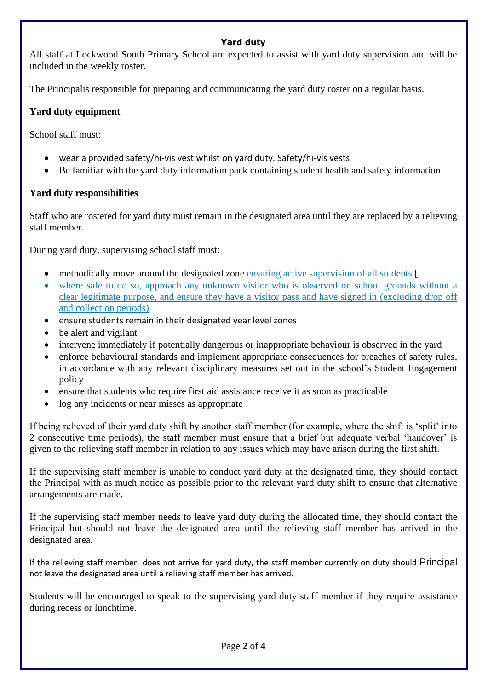## **Yard duty**

All staff at Lockwood South Primary School are expected to assist with yard duty supervision and will be included in the weekly roster.

The Principalis responsible for preparing and communicating the yard duty roster on a regular basis.

## **Yard duty equipment**

School staff must:

- wear a provided safety/hi-vis vest whilst on yard duty. Safety/hi-vis vests
- Be familiar with the yard duty information pack containing student health and safety information.

## **Yard duty responsibilities**

Staff who are rostered for yard duty must remain in the designated area until they are replaced by a relieving staff member.

During yard duty, supervising school staff must:

- methodically move around the designated zone ensuring active supervision of all students [
- where safe to do so, approach any unknown visitor who is observed on school grounds without a clear legitimate purpose, and ensure they have a visitor pass and have signed in (excluding drop off and collection periods)
- ensure students remain in their designated year level zones
- be alert and vigilant
- intervene immediately if potentially dangerous or inappropriate behaviour is observed in the yard
- enforce behavioural standards and implement appropriate consequences for breaches of safety rules, in accordance with any relevant disciplinary measures set out in the school's Student Engagement policy
- ensure that students who require first aid assistance receive it as soon as practicable
- log any incidents or near misses as appropriate

If being relieved of their yard duty shift by another staff member (for example, where the shift is 'split' into 2 consecutive time periods), the staff member must ensure that a brief but adequate verbal 'handover' is given to the relieving staff member in relation to any issues which may have arisen during the first shift.

If the supervising staff member is unable to conduct yard duty at the designated time, they should contact the Principal with as much notice as possible prior to the relevant yard duty shift to ensure that alternative arrangements are made.

If the supervising staff member needs to leave yard duty during the allocated time, they should contact the Principal but should not leave the designated area until the relieving staff member has arrived in the designated area.

If the relieving staff member- does not arrive for yard duty, the staff member currently on duty should Principal not leave the designated area until a relieving staff member has arrived.

Students will be encouraged to speak to the supervising yard duty staff member if they require assistance during recess or lunchtime.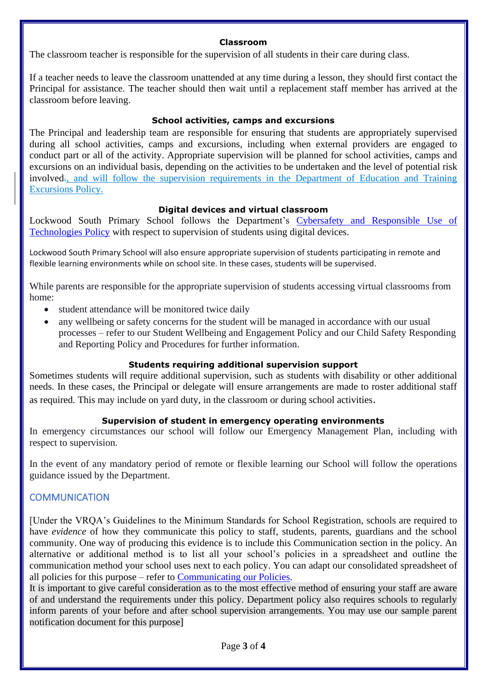#### **Classroom**

The classroom teacher is responsible for the supervision of all students in their care during class.

If a teacher needs to leave the classroom unattended at any time during a lesson, they should first contact the Principal for assistance. The teacher should then wait until a replacement staff member has arrived at the classroom before leaving.

## **School activities, camps and excursions**

The Principal and leadership team are responsible for ensuring that students are appropriately supervised during all school activities, camps and excursions, including when external providers are engaged to conduct part or all of the activity. Appropriate supervision will be planned for school activities, camps and excursions on an individual basis, depending on the activities to be undertaken and the level of potential risk involved<sub>r</sub>, and will follow the supervision requirements in the Department of Education and Training [Excursions Policy.](https://www2.education.vic.gov.au/pal/excursions/policy)

## **Digital devices and virtual classroom**

Lockwood South Primary School follows the Department's [Cybersafety and Responsible Use of](https://www2.education.vic.gov.au/pal/cybersafety/policy)  [Technologies Policy](https://www2.education.vic.gov.au/pal/cybersafety/policy) with respect to supervision of students using digital devices.

Lockwood South Primary School will also ensure appropriate supervision of students participating in remote and flexible learning environments while on school site. In these cases, students will be supervised.

While parents are responsible for the appropriate supervision of students accessing virtual classrooms from home:

- student attendance will be monitored twice daily
- any wellbeing or safety concerns for the student will be managed in accordance with our usual processes – refer to our Student Wellbeing and Engagement Policy and our Child Safety Responding and Reporting Policy and Procedures for further information.

## **Students requiring additional supervision support**

Sometimes students will require additional supervision, such as students with disability or other additional needs. In these cases, the Principal or delegate will ensure arrangements are made to roster additional staff as required. This may include on yard duty, in the classroom or during school activities.

#### **Supervision of student in emergency operating environments**

In emergency circumstances our school will follow our Emergency Management Plan, including with respect to supervision.

In the event of any mandatory period of remote or flexible learning our School will follow the operations guidance issued by the Department.

## COMMUNICATION

[Under the VRQA's Guidelines to the Minimum Standards for School Registration, schools are required to have *evidence* of how they communicate this policy to staff, students, parents, guardians and the school community. One way of producing this evidence is to include this Communication section in the policy. An alternative or additional method is to list all your school's policies in a spreadsheet and outline the communication method your school uses next to each policy. You can adapt our consolidated spreadsheet of all policies for this purpose – refer to [Communicating our Policies.](https://edugate.eduweb.vic.gov.au/edrms/keyprocess/cp/Pages/Communicating-School-Policies.aspx)

It is important to give careful consideration as to the most effective method of ensuring your staff are aware of and understand the requirements under this policy. Department policy also requires schools to regularly inform parents of your before and after school supervision arrangements. You may use our sample parent notification document for this purpose]